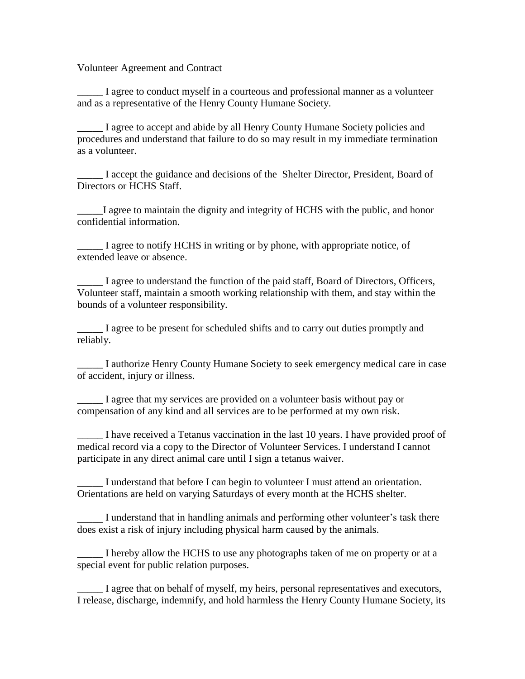Volunteer Agreement and Contract

\_\_\_\_\_ I agree to conduct myself in a courteous and professional manner as a volunteer and as a representative of the Henry County Humane Society.

\_\_\_\_\_ I agree to accept and abide by all Henry County Humane Society policies and procedures and understand that failure to do so may result in my immediate termination as a volunteer.

\_\_\_\_\_ I accept the guidance and decisions of the Shelter Director, President, Board of Directors or HCHS Staff.

I agree to maintain the dignity and integrity of HCHS with the public, and honor confidential information.

I agree to notify HCHS in writing or by phone, with appropriate notice, of extended leave or absence.

\_\_\_\_\_ I agree to understand the function of the paid staff, Board of Directors, Officers, Volunteer staff, maintain a smooth working relationship with them, and stay within the bounds of a volunteer responsibility.

\_\_\_\_\_ I agree to be present for scheduled shifts and to carry out duties promptly and reliably.

I authorize Henry County Humane Society to seek emergency medical care in case of accident, injury or illness.

\_\_\_\_\_ I agree that my services are provided on a volunteer basis without pay or compensation of any kind and all services are to be performed at my own risk.

\_\_\_\_\_ I have received a Tetanus vaccination in the last 10 years. I have provided proof of medical record via a copy to the Director of Volunteer Services. I understand I cannot participate in any direct animal care until I sign a tetanus waiver.

\_\_\_\_\_ I understand that before I can begin to volunteer I must attend an orientation. Orientations are held on varying Saturdays of every month at the HCHS shelter.

I understand that in handling animals and performing other volunteer's task there does exist a risk of injury including physical harm caused by the animals.

\_\_\_\_\_ I hereby allow the HCHS to use any photographs taken of me on property or at a special event for public relation purposes.

I agree that on behalf of myself, my heirs, personal representatives and executors, I release, discharge, indemnify, and hold harmless the Henry County Humane Society, its